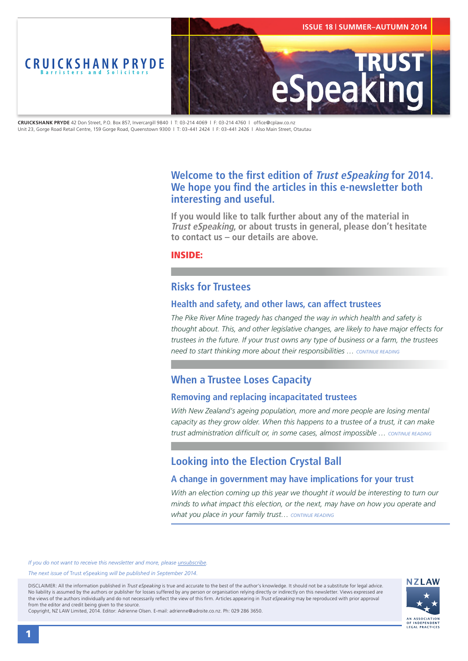<span id="page-0-0"></span>

**CRUICKSHANK PRYDE** 42 Don Street, P.O. Box 857, Invercargill 9840 | T: 03-214 4069 | F: 03-214 4760 | office@cplaw.co.nz Unit 23, Gorge Road Retail Centre, 159 Gorge Road, Queenstown 9300 | T: 03-441 2424 | F: 03-441 2426 | Also Main Street, Otautau

# **Welcome to the first edition of Trust eSpeaking for 2014. We hope you find the articles in this e-newsletter both interesting and useful.**

**If you would like to talk further about any of the material in Trust eSpeaking, or about trusts in general, please don't hesitate to contact us – our details are above.**

INSIDE:

## **Risks for Trustees**

### **Health and safety, and other laws, can affect trustees**

*The Pike River Mine tragedy has changed the way in which health and safety is thought about. This, and other legislative changes, are likely to have major effects for trustees in the future. If your trust owns any type of business or a farm, the trustees need to start thinking more about their responsibilities … [CONTINUE READING](#page-1-0)*

## **When a Trustee Loses Capacity**

### **Removing and replacing incapacitated trustees**

*With New Zealand's ageing population, more and more people are losing mental capacity as they grow older. When this happens to a trustee of a trust, it can make trust administration difficult or, in some cases, almost impossible … [CONTINUE READING](#page-2-0)*

# **Looking into the Election Crystal Ball**

### **A change in government may have implications for your trust**

With an election coming up this year we thought it would be interesting to turn our *minds to what impact this election, or the next, may have on how you operate and what you place in your family trust… [CONTINUE READING](#page-3-0)*

*If you do not want to receive this newsletter and more, please [unsubscribe](mailto:adrienne@adroite.co.nz).*

#### *The next issue of* Trust eSpeaking *will be published in September 2014.*

DISCLAIMER: All the information published in *Trust eSpeaking* is true and accurate to the best of the author's knowledge. It should not be a substitute for legal advice. No liability is assumed by the authors or publisher for losses suffered by any person or organisation relying directly or indirectly on this newsletter. Views expressed are the views of the authors individually and do not necessarily reflect the view of this firm. Articles appearing in *Trust eSpeaking* may be reproduced with prior approval from the editor and credit being given to the source.

Copyright, NZ LAW Limited, 2014. Editor: Adrienne Olsen. [E-mail: adrienne@adroite.co.nz](mailto:adrienne@adroite.co.nz). Ph: 029 286 3650.

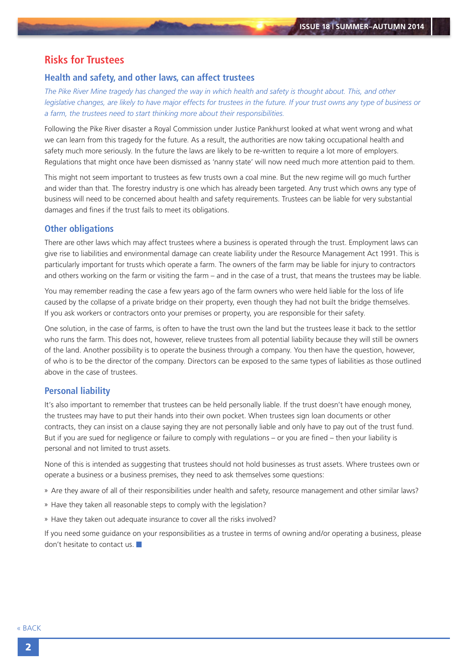## <span id="page-1-0"></span>**Risks for Trustees**

### **Health and safety, and other laws, can affect trustees**

*The Pike River Mine tragedy has changed the way in which health and safety is thought about. This, and other legislative changes, are likely to have major effects for trustees in the future. If your trust owns any type of business or a farm, the trustees need to start thinking more about their responsibilities.*

Following the Pike River disaster a Royal Commission under Justice Pankhurst looked at what went wrong and what we can learn from this tragedy for the future. As a result, the authorities are now taking occupational health and safety much more seriously. In the future the laws are likely to be re-written to require a lot more of employers. Regulations that might once have been dismissed as 'nanny state' will now need much more attention paid to them.

This might not seem important to trustees as few trusts own a coal mine. But the new regime will go much further and wider than that. The forestry industry is one which has already been targeted. Any trust which owns any type of business will need to be concerned about health and safety requirements. Trustees can be liable for very substantial damages and fines if the trust fails to meet its obligations.

#### **Other obligations**

There are other laws which may affect trustees where a business is operated through the trust. Employment laws can give rise to liabilities and environmental damage can create liability under the Resource Management Act 1991. This is particularly important for trusts which operate a farm. The owners of the farm may be liable for injury to contractors and others working on the farm or visiting the farm – and in the case of a trust, that means the trustees may be liable.

You may remember reading the case a few years ago of the farm owners who were held liable for the loss of life caused by the collapse of a private bridge on their property, even though they had not built the bridge themselves. If you ask workers or contractors onto your premises or property, you are responsible for their safety.

One solution, in the case of farms, is often to have the trust own the land but the trustees lease it back to the settlor who runs the farm. This does not, however, relieve trustees from all potential liability because they will still be owners of the land. Another possibility is to operate the business through a company. You then have the question, however, of who is to be the director of the company. Directors can be exposed to the same types of liabilities as those outlined above in the case of trustees.

### **Personal liability**

It's also important to remember that trustees can be held personally liable. If the trust doesn't have enough money, the trustees may have to put their hands into their own pocket. When trustees sign loan documents or other contracts, they can insist on a clause saying they are not personally liable and only have to pay out of the trust fund. But if you are sued for negligence or failure to comply with regulations – or you are fined – then your liability is personal and not limited to trust assets.

None of this is intended as suggesting that trustees should not hold businesses as trust assets. Where trustees own or operate a business or a business premises, they need to ask themselves some questions:

» Are they aware of all of their responsibilities under health and safety, resource management and other similar laws?

- » Have they taken all reasonable steps to comply with the legislation?
- » Have they taken out adequate insurance to cover all the risks involved?

If you need some guidance on your responsibilities as a trustee in terms of owning and/or operating a business, please don't hesitate to contact us.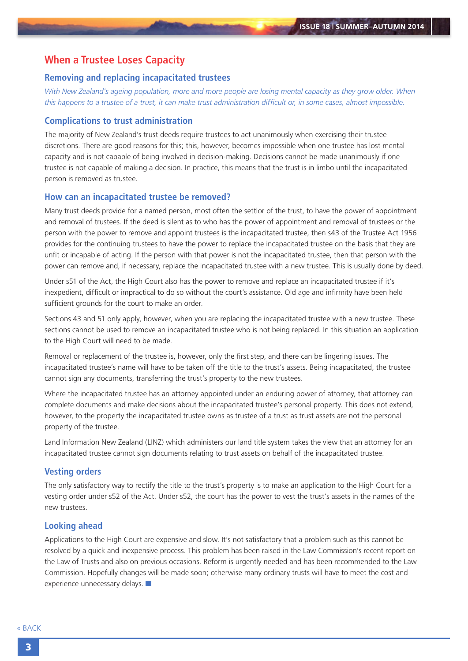### <span id="page-2-0"></span>**When a Trustee Loses Capacity**

#### **Removing and replacing incapacitated trustees**

*With New Zealand's ageing population, more and more people are losing mental capacity as they grow older. When this happens to a trustee of a trust, it can make trust administration difficult or, in some cases, almost impossible.*

#### **Complications to trust administration**

The majority of New Zealand's trust deeds require trustees to act unanimously when exercising their trustee discretions. There are good reasons for this; this, however, becomes impossible when one trustee has lost mental capacity and is not capable of being involved in decision-making. Decisions cannot be made unanimously if one trustee is not capable of making a decision. In practice, this means that the trust is in limbo until the incapacitated person is removed as trustee.

#### **How can an incapacitated trustee be removed?**

Many trust deeds provide for a named person, most often the settlor of the trust, to have the power of appointment and removal of trustees. If the deed is silent as to who has the power of appointment and removal of trustees or the person with the power to remove and appoint trustees is the incapacitated trustee, then s43 of the Trustee Act 1956 provides for the continuing trustees to have the power to replace the incapacitated trustee on the basis that they are unfit or incapable of acting. If the person with that power is not the incapacitated trustee, then that person with the power can remove and, if necessary, replace the incapacitated trustee with a new trustee. This is usually done by deed.

Under s51 of the Act, the High Court also has the power to remove and replace an incapacitated trustee if it's inexpedient, difficult or impractical to do so without the court's assistance. Old age and infirmity have been held sufficient grounds for the court to make an order.

Sections 43 and 51 only apply, however, when you are replacing the incapacitated trustee with a new trustee. These sections cannot be used to remove an incapacitated trustee who is not being replaced. In this situation an application to the High Court will need to be made.

Removal or replacement of the trustee is, however, only the first step, and there can be lingering issues. The incapacitated trustee's name will have to be taken off the title to the trust's assets. Being incapacitated, the trustee cannot sign any documents, transferring the trust's property to the new trustees.

Where the incapacitated trustee has an attorney appointed under an enduring power of attorney, that attorney can complete documents and make decisions about the incapacitated trustee's personal property. This does not extend, however, to the property the incapacitated trustee owns as trustee of a trust as trust assets are not the personal property of the trustee.

Land Information New Zealand (LINZ) which administers our land title system takes the view that an attorney for an incapacitated trustee cannot sign documents relating to trust assets on behalf of the incapacitated trustee.

### **Vesting orders**

The only satisfactory way to rectify the title to the trust's property is to make an application to the High Court for a vesting order under s52 of the Act. Under s52, the court has the power to vest the trust's assets in the names of the new trustees.

### **Looking ahead**

Applications to the High Court are expensive and slow. It's not satisfactory that a problem such as this cannot be resolved by a quick and inexpensive process. This problem has been raised in the Law Commission's recent report on the Law of Trusts and also on previous occasions. Reform is urgently needed and has been recommended to the Law Commission. Hopefully changes will be made soon; otherwise many ordinary trusts will have to meet the cost and experience unnecessary delays.